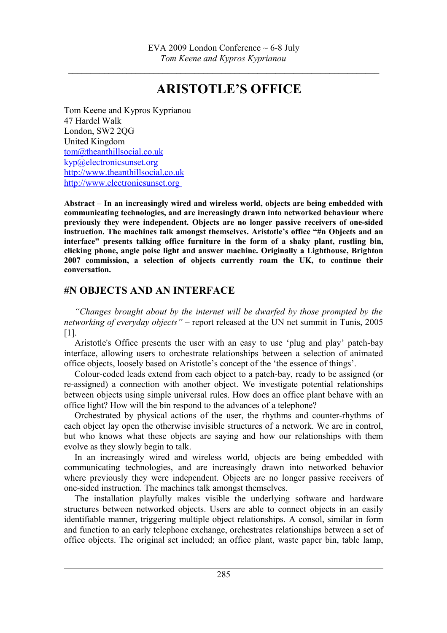$\mathcal{L}_\text{max} = \frac{1}{2} \sum_{i=1}^n \mathcal{L}_\text{max}(\mathbf{z}_i - \mathbf{z}_i)$ 

## **ARISTOTLE'S OFFICE**

Tom Keene and Kypros Kyprianou 47 Hardel Walk London, SW2 2QG United Kingdom [tom@theanthillsocial.co.uk](mailto:tom@theanthillsocial.co.uk) [kyp@electronicsunset.org](mailto:kyp@electronicsunset.org) [http://www.theanthillsocial.co.uk](http://www.theanthillsocial.co.uk/) http://www.electronicsunset.org

**Abstract – In an increasingly wired and wireless world, objects are being embedded with communicating technologies, and are increasingly drawn into networked behaviour where previously they were independent. Objects are no longer passive receivers of one-sided instruction. The machines talk amongst themselves. Aristotle's office "#n Objects and an interface" presents talking office furniture in the form of a shaky plant, rustling bin, clicking phone, angle poise light and answer machine. Originally a Lighthouse, Brighton 2007 commission, a selection of objects currently roam the UK, to continue their conversation.** 

## **#N OBJECTS AND AN INTERFACE**

*"Changes brought about by the internet will be dwarfed by those prompted by the networking of everyday objects"* – report released at the UN net summit in Tunis, 2005 [1].

Aristotle's Office presents the user with an easy to use 'plug and play' patch-bay interface, allowing users to orchestrate relationships between a selection of animated office objects, loosely based on Aristotle's concept of the 'the essence of things'.

Colour-coded leads extend from each object to a patch-bay, ready to be assigned (or re-assigned) a connection with another object. We investigate potential relationships between objects using simple universal rules. How does an office plant behave with an office light? How will the bin respond to the advances of a telephone?

Orchestrated by physical actions of the user, the rhythms and counter-rhythms of each object lay open the otherwise invisible structures of a network. We are in control, but who knows what these objects are saying and how our relationships with them evolve as they slowly begin to talk.

In an increasingly wired and wireless world, objects are being embedded with communicating technologies, and are increasingly drawn into networked behavior where previously they were independent. Objects are no longer passive receivers of one-sided instruction. The machines talk amongst themselves.

The installation playfully makes visible the underlying software and hardware structures between networked objects. Users are able to connect objects in an easily identifiable manner, triggering multiple object relationships. A consol, similar in form and function to an early telephone exchange, orchestrates relationships between a set of office objects. The original set included; an office plant, waste paper bin, table lamp,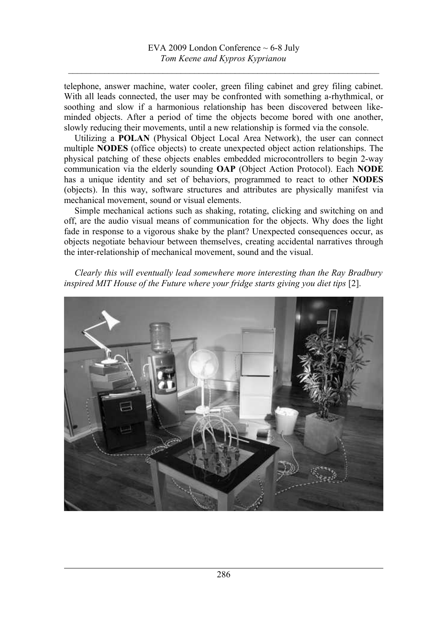$\mathcal{L}_\text{max} = \frac{1}{2} \sum_{i=1}^n \mathcal{L}_\text{max}(\mathbf{z}_i - \mathbf{z}_i)$ 

telephone, answer machine, water cooler, green filing cabinet and grey filing cabinet. With all leads connected, the user may be confronted with something a-rhythmical, or soothing and slow if a harmonious relationship has been discovered between likeminded objects. After a period of time the objects become bored with one another, slowly reducing their movements, until a new relationship is formed via the console.

Utilizing a **POLAN** (Physical Object Local Area Network), the user can connect multiple **NODES** (office objects) to create unexpected object action relationships. The physical patching of these objects enables embedded microcontrollers to begin 2-way communication via the elderly sounding **OAP** (Object Action Protocol). Each **NODE** has a unique identity and set of behaviors, programmed to react to other **NODES** (objects). In this way, software structures and attributes are physically manifest via mechanical movement, sound or visual elements.

Simple mechanical actions such as shaking, rotating, clicking and switching on and off, are the audio visual means of communication for the objects. Why does the light fade in response to a vigorous shake by the plant? Unexpected consequences occur, as objects negotiate behaviour between themselves, creating accidental narratives through the inter-relationship of mechanical movement, sound and the visual.

*Clearly this will eventually lead somewhere more interesting than the Ray Bradbury* inspired MIT House of the Future where your fridge starts giving you diet tips [2].